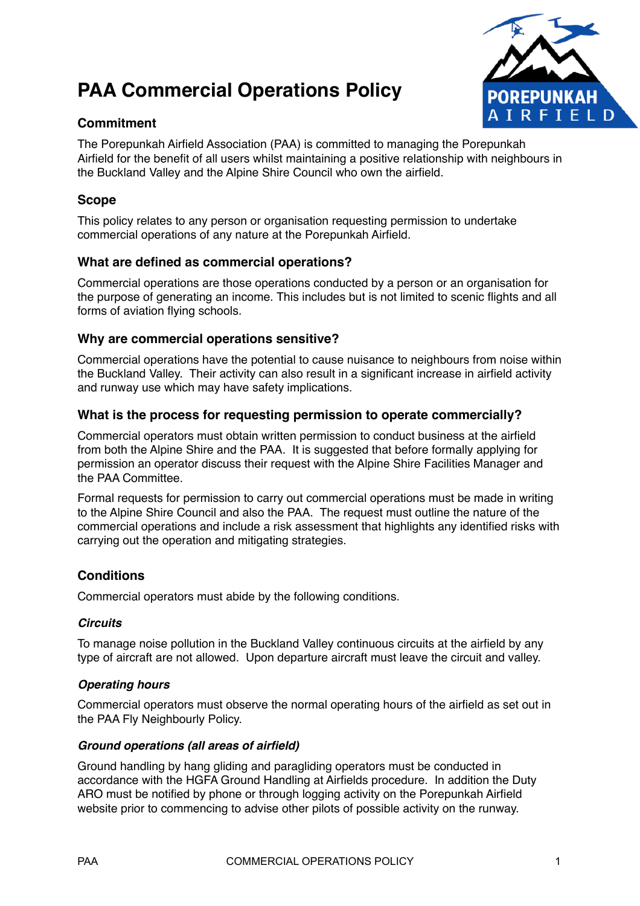# **PAA Commercial Operations Policy**



# **Commitment**

The Porepunkah Airfield Association (PAA) is committed to managing the Porepunkah Airfield for the benefit of all users whilst maintaining a positive relationship with neighbours in the Buckland Valley and the Alpine Shire Council who own the airfield.

## **Scope**

This policy relates to any person or organisation requesting permission to undertake commercial operations of any nature at the Porepunkah Airfield.

## **What are defined as commercial operations?**

Commercial operations are those operations conducted by a person or an organisation for the purpose of generating an income. This includes but is not limited to scenic flights and all forms of aviation flying schools.

## **Why are commercial operations sensitive?**

Commercial operations have the potential to cause nuisance to neighbours from noise within the Buckland Valley. Their activity can also result in a significant increase in airfield activity and runway use which may have safety implications.

## **What is the process for requesting permission to operate commercially?**

Commercial operators must obtain written permission to conduct business at the airfield from both the Alpine Shire and the PAA. It is suggested that before formally applying for permission an operator discuss their request with the Alpine Shire Facilities Manager and the PAA Committee.

Formal requests for permission to carry out commercial operations must be made in writing to the Alpine Shire Council and also the PAA. The request must outline the nature of the commercial operations and include a risk assessment that highlights any identified risks with carrying out the operation and mitigating strategies.

## **Conditions**

Commercial operators must abide by the following conditions.

## *Circuits*

To manage noise pollution in the Buckland Valley continuous circuits at the airfield by any type of aircraft are not allowed. Upon departure aircraft must leave the circuit and valley.

## *Operating hours*

Commercial operators must observe the normal operating hours of the airfield as set out in the PAA Fly Neighbourly Policy.

## *Ground operations (all areas of airfield)*

Ground handling by hang gliding and paragliding operators must be conducted in accordance with the HGFA Ground Handling at Airfields procedure. In addition the Duty ARO must be notified by phone or through logging activity on the Porepunkah Airfield website prior to commencing to advise other pilots of possible activity on the runway.